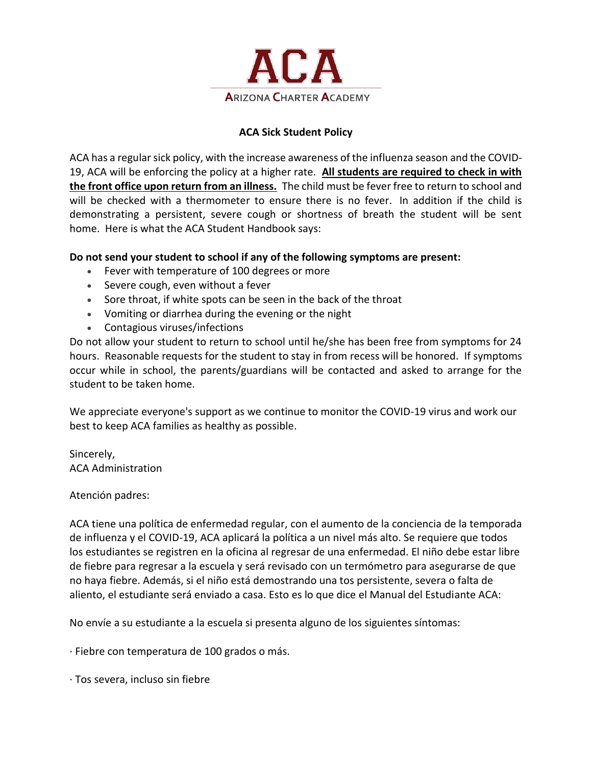

## **ACA Sick Student Policy**

ACA has a regular sick policy, with the increase awareness of the influenza season and the COVID-19, ACA will be enforcing the policy at a higher rate. **All students are required to check in with the front office upon return from an illness.** The child must be fever free to return to school and will be checked with a thermometer to ensure there is no fever. In addition if the child is demonstrating a persistent, severe cough or shortness of breath the student will be sent home. Here is what the ACA Student Handbook says:

## **Do not send your student to school if any of the following symptoms are present:**

- Fever with temperature of 100 degrees or more
- Severe cough, even without a fever
- Sore throat, if white spots can be seen in the back of the throat
- Vomiting or diarrhea during the evening or the night
- Contagious viruses/infections

Do not allow your student to return to school until he/she has been free from symptoms for 24 hours. Reasonable requests for the student to stay in from recess will be honored. If symptoms occur while in school, the parents/guardians will be contacted and asked to arrange for the student to be taken home.

We appreciate everyone's support as we continue to monitor the COVID-19 virus and work our best to keep ACA families as healthy as possible.

Sincerely, ACA Administration

## Atención padres:

ACA tiene una política de enfermedad regular, con el aumento de la conciencia de la temporada de influenza y el COVID-19, ACA aplicará la política a un nivel más alto. Se requiere que todos los estudiantes se registren en la oficina al regresar de una enfermedad. El niño debe estar libre de fiebre para regresar a la escuela y será revisado con un termómetro para asegurarse de que no haya fiebre. Además, si el niño está demostrando una tos persistente, severa o falta de aliento, el estudiante será enviado a casa. Esto es lo que dice el Manual del Estudiante ACA:

No envíe a su estudiante a la escuela si presenta alguno de los siguientes síntomas:

· Fiebre con temperatura de 100 grados o más.

· Tos severa, incluso sin fiebre